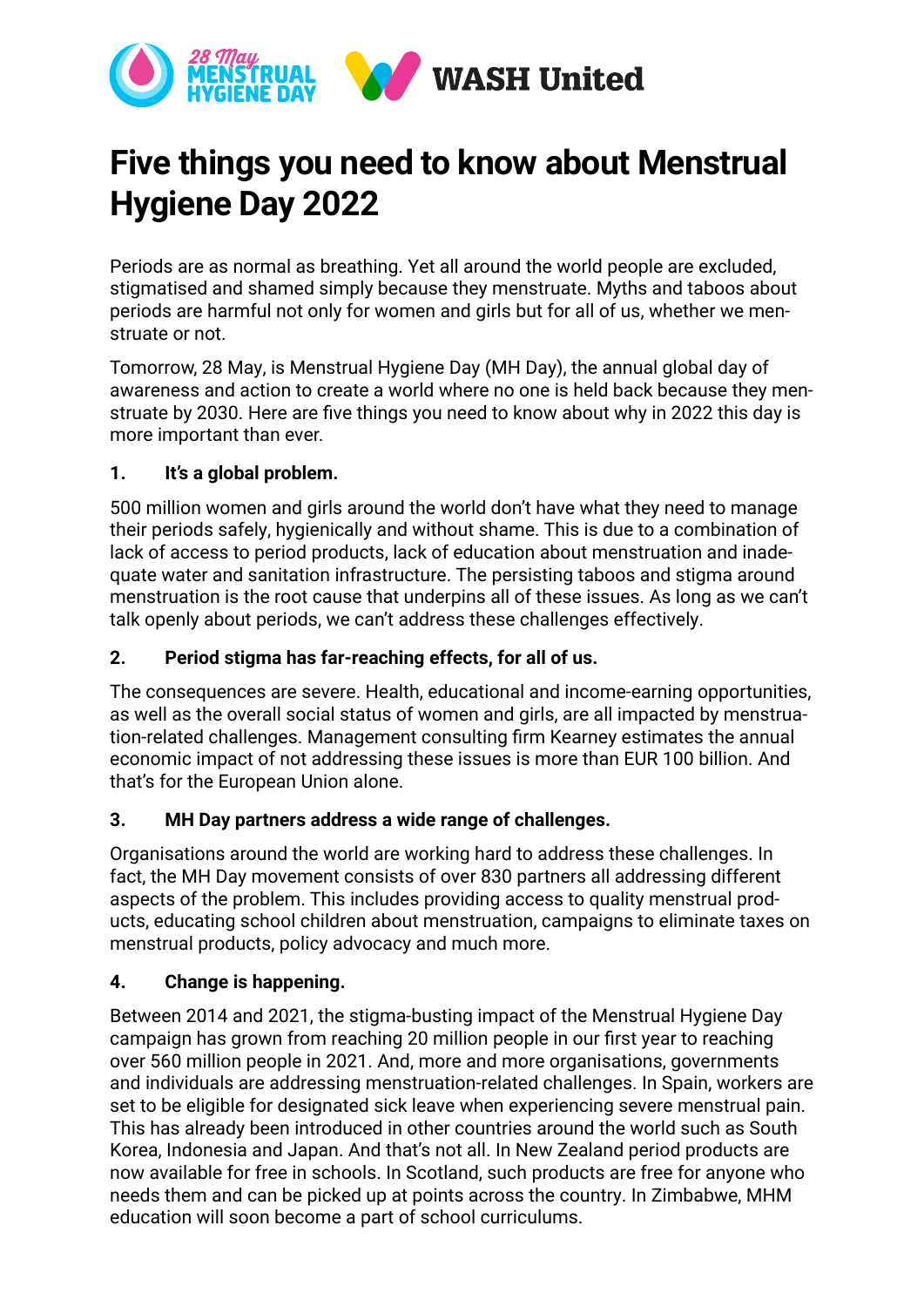

# **Five things you need to know about Menstrual Hygiene Day 2022**

Periods are as normal as breathing. Yet all around the world people are excluded, stigmatised and shamed simply because they menstruate. Myths and taboos about periods are harmful not only for women and girls but for all of us, whether we menstruate or not.

Tomorrow, 28 May, is Menstrual Hygiene Day (MH Day), the annual global day of awareness and action to create a world where no one is held back because they menstruate by 2030. Here are five things you need to know about why in 2022 this day is more important than ever.

# **1. It's a global problem.**

500 million women and girls around the world don't have what they need to manage their periods safely, hygienically and without shame. This is due to a combination of lack of access to period products, lack of education about menstruation and inadequate water and sanitation infrastructure. The persisting taboos and stigma around menstruation is the root cause that underpins all of these issues. As long as we can't talk openly about periods, we can't address these challenges effectively.

## **2. Period stigma has far-reaching effects, for all of us.**

The consequences are severe. Health, educational and income-earning opportunities, as well as the overall social status of women and girls, are all impacted by menstruation-related challenges. Management consulting firm Kearney estimates the annual economic impact of not addressing these issues is more than EUR 100 billion. And that's for the European Union alone.

### **3. MH Day partners address a wide range of challenges.**

Organisations around the world are working hard to address these challenges. In fact, the MH Day movement consists of over 830 partners all addressing different aspects of the problem. This includes providing access to quality menstrual products, educating school children about menstruation, campaigns to eliminate taxes on menstrual products, policy advocacy and much more.

### **4. Change is happening.**

Between 2014 and 2021, the stigma-busting impact of the Menstrual Hygiene Day campaign has grown from reaching 20 million people in our first year to reaching over 560 million people in 2021. And, more and more organisations, governments and individuals are addressing menstruation-related challenges. In Spain, workers are set to be eligible for designated sick leave when experiencing severe menstrual pain. This has already been introduced in other countries around the world such as South Korea, Indonesia and Japan. And that's not all. In New Zealand period products are now available for free in schools. In Scotland, such products are free for anyone who needs them and can be picked up at points across the country. In Zimbabwe, MHM education will soon become a part of school curriculums.